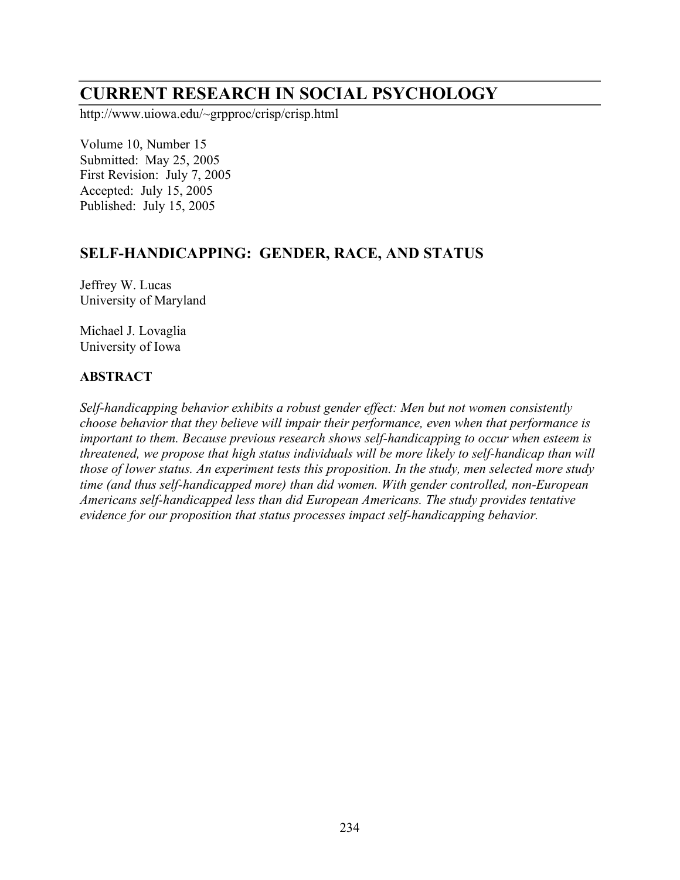# **CURRENT RESEARCH IN SOCIAL PSYCHOLOGY**

http://www.uiowa.edu/~grpproc/crisp/crisp.html

Volume 10, Number 15 Submitted: May 25, 2005 First Revision: July 7, 2005 Accepted: July 15, 2005 Published: July 15, 2005

# **SELF-HANDICAPPING: GENDER, RACE, AND STATUS**

Jeffrey W. Lucas University of Maryland

Michael J. Lovaglia University of Iowa

#### **ABSTRACT**

*Self-handicapping behavior exhibits a robust gender effect: Men but not women consistently choose behavior that they believe will impair their performance, even when that performance is important to them. Because previous research shows self-handicapping to occur when esteem is threatened, we propose that high status individuals will be more likely to self-handicap than will those of lower status. An experiment tests this proposition. In the study, men selected more study time (and thus self-handicapped more) than did women. With gender controlled, non-European Americans self-handicapped less than did European Americans. The study provides tentative evidence for our proposition that status processes impact self-handicapping behavior.*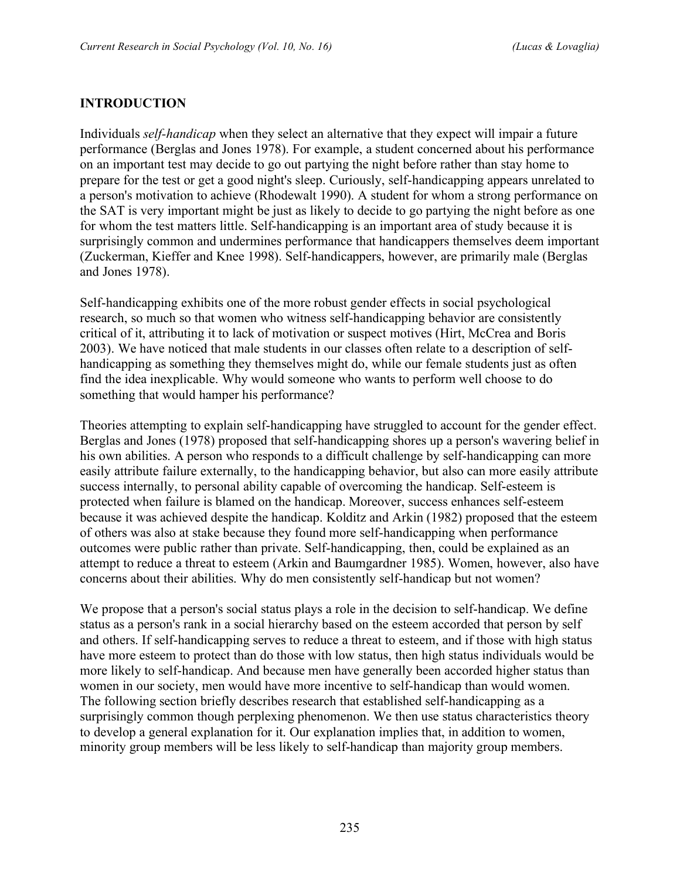## **INTRODUCTION**

Individuals *self-handicap* when they select an alternative that they expect will impair a future performance (Berglas and Jones 1978). For example, a student concerned about his performance on an important test may decide to go out partying the night before rather than stay home to prepare for the test or get a good night's sleep. Curiously, self-handicapping appears unrelated to a person's motivation to achieve (Rhodewalt 1990). A student for whom a strong performance on the SAT is very important might be just as likely to decide to go partying the night before as one for whom the test matters little. Self-handicapping is an important area of study because it is surprisingly common and undermines performance that handicappers themselves deem important (Zuckerman, Kieffer and Knee 1998). Self-handicappers, however, are primarily male (Berglas and Jones 1978).

Self-handicapping exhibits one of the more robust gender effects in social psychological research, so much so that women who witness self-handicapping behavior are consistently critical of it, attributing it to lack of motivation or suspect motives (Hirt, McCrea and Boris 2003). We have noticed that male students in our classes often relate to a description of selfhandicapping as something they themselves might do, while our female students just as often find the idea inexplicable. Why would someone who wants to perform well choose to do something that would hamper his performance?

Theories attempting to explain self-handicapping have struggled to account for the gender effect. Berglas and Jones (1978) proposed that self-handicapping shores up a person's wavering belief in his own abilities. A person who responds to a difficult challenge by self-handicapping can more easily attribute failure externally, to the handicapping behavior, but also can more easily attribute success internally, to personal ability capable of overcoming the handicap. Self-esteem is protected when failure is blamed on the handicap. Moreover, success enhances self-esteem because it was achieved despite the handicap. Kolditz and Arkin (1982) proposed that the esteem of others was also at stake because they found more self-handicapping when performance outcomes were public rather than private. Self-handicapping, then, could be explained as an attempt to reduce a threat to esteem (Arkin and Baumgardner 1985). Women, however, also have concerns about their abilities. Why do men consistently self-handicap but not women?

We propose that a person's social status plays a role in the decision to self-handicap. We define status as a person's rank in a social hierarchy based on the esteem accorded that person by self and others. If self-handicapping serves to reduce a threat to esteem, and if those with high status have more esteem to protect than do those with low status, then high status individuals would be more likely to self-handicap. And because men have generally been accorded higher status than women in our society, men would have more incentive to self-handicap than would women. The following section briefly describes research that established self-handicapping as a surprisingly common though perplexing phenomenon. We then use status characteristics theory to develop a general explanation for it. Our explanation implies that, in addition to women, minority group members will be less likely to self-handicap than majority group members.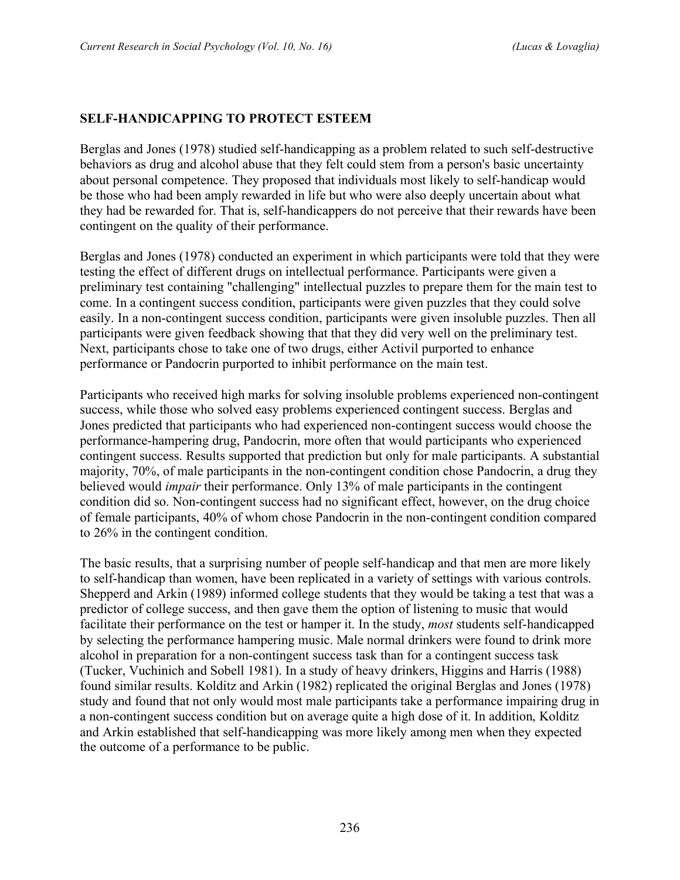## **SELF-HANDICAPPING TO PROTECT ESTEEM**

Berglas and Jones (1978) studied self-handicapping as a problem related to such self-destructive behaviors as drug and alcohol abuse that they felt could stem from a person's basic uncertainty about personal competence. They proposed that individuals most likely to self-handicap would be those who had been amply rewarded in life but who were also deeply uncertain about what they had be rewarded for. That is, self-handicappers do not perceive that their rewards have been contingent on the quality of their performance.

Berglas and Jones (1978) conducted an experiment in which participants were told that they were testing the effect of different drugs on intellectual performance. Participants were given a preliminary test containing "challenging" intellectual puzzles to prepare them for the main test to come. In a contingent success condition, participants were given puzzles that they could solve easily. In a non-contingent success condition, participants were given insoluble puzzles. Then all participants were given feedback showing that that they did very well on the preliminary test. Next, participants chose to take one of two drugs, either Activil purported to enhance performance or Pandocrin purported to inhibit performance on the main test.

Participants who received high marks for solving insoluble problems experienced non-contingent success, while those who solved easy problems experienced contingent success. Berglas and Jones predicted that participants who had experienced non-contingent success would choose the performance-hampering drug, Pandocrin, more often that would participants who experienced contingent success. Results supported that prediction but only for male participants. A substantial majority, 70%, of male participants in the non-contingent condition chose Pandocrin, a drug they believed would *impair* their performance. Only 13% of male participants in the contingent condition did so. Non-contingent success had no significant effect, however, on the drug choice of female participants, 40% of whom chose Pandocrin in the non-contingent condition compared to 26% in the contingent condition.

The basic results, that a surprising number of people self-handicap and that men are more likely to self-handicap than women, have been replicated in a variety of settings with various controls. Shepperd and Arkin (1989) informed college students that they would be taking a test that was a predictor of college success, and then gave them the option of listening to music that would facilitate their performance on the test or hamper it. In the study, *most* students self-handicapped by selecting the performance hampering music. Male normal drinkers were found to drink more alcohol in preparation for a non-contingent success task than for a contingent success task (Tucker, Vuchinich and Sobell 1981). In a study of heavy drinkers, Higgins and Harris (1988) found similar results. Kolditz and Arkin (1982) replicated the original Berglas and Jones (1978) study and found that not only would most male participants take a performance impairing drug in a non-contingent success condition but on average quite a high dose of it. In addition, Kolditz and Arkin established that self-handicapping was more likely among men when they expected the outcome of a performance to be public.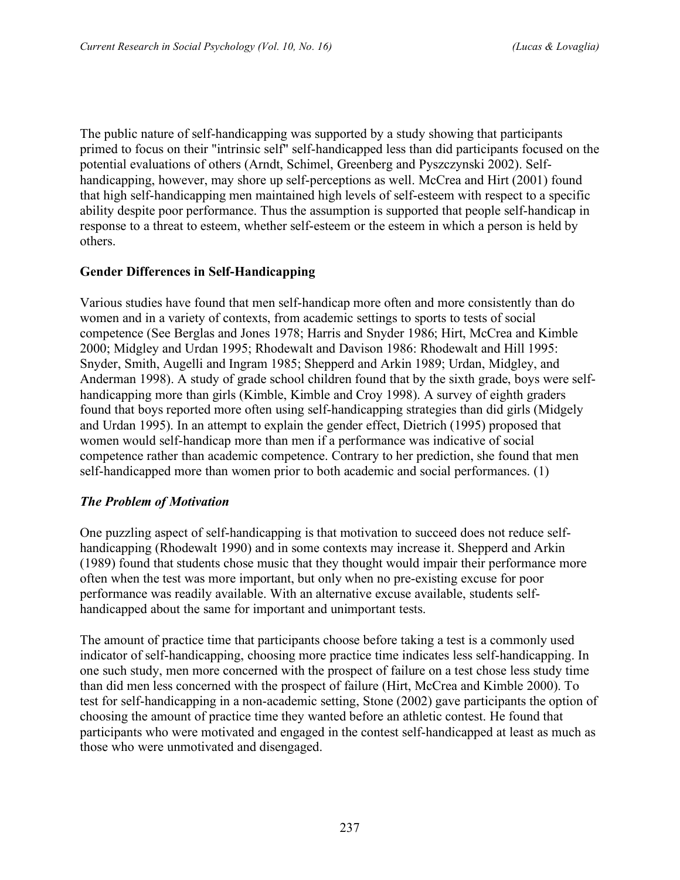The public nature of self-handicapping was supported by a study showing that participants primed to focus on their "intrinsic self" self-handicapped less than did participants focused on the potential evaluations of others (Arndt, Schimel, Greenberg and Pyszczynski 2002). Selfhandicapping, however, may shore up self-perceptions as well. McCrea and Hirt (2001) found that high self-handicapping men maintained high levels of self-esteem with respect to a specific ability despite poor performance. Thus the assumption is supported that people self-handicap in response to a threat to esteem, whether self-esteem or the esteem in which a person is held by others.

## **Gender Differences in Self-Handicapping**

Various studies have found that men self-handicap more often and more consistently than do women and in a variety of contexts, from academic settings to sports to tests of social competence (See Berglas and Jones 1978; Harris and Snyder 1986; Hirt, McCrea and Kimble 2000; Midgley and Urdan 1995; Rhodewalt and Davison 1986: Rhodewalt and Hill 1995: Snyder, Smith, Augelli and Ingram 1985; Shepperd and Arkin 1989; Urdan, Midgley, and Anderman 1998). A study of grade school children found that by the sixth grade, boys were selfhandicapping more than girls (Kimble, Kimble and Croy 1998). A survey of eighth graders found that boys reported more often using self-handicapping strategies than did girls (Midgely and Urdan 1995). In an attempt to explain the gender effect, Dietrich (1995) proposed that women would self-handicap more than men if a performance was indicative of social competence rather than academic competence. Contrary to her prediction, she found that men self-handicapped more than women prior to both academic and social performances. (1)

#### *The Problem of Motivation*

One puzzling aspect of self-handicapping is that motivation to succeed does not reduce selfhandicapping (Rhodewalt 1990) and in some contexts may increase it. Shepperd and Arkin (1989) found that students chose music that they thought would impair their performance more often when the test was more important, but only when no pre-existing excuse for poor performance was readily available. With an alternative excuse available, students selfhandicapped about the same for important and unimportant tests.

The amount of practice time that participants choose before taking a test is a commonly used indicator of self-handicapping, choosing more practice time indicates less self-handicapping. In one such study, men more concerned with the prospect of failure on a test chose less study time than did men less concerned with the prospect of failure (Hirt, McCrea and Kimble 2000). To test for self-handicapping in a non-academic setting, Stone (2002) gave participants the option of choosing the amount of practice time they wanted before an athletic contest. He found that participants who were motivated and engaged in the contest self-handicapped at least as much as those who were unmotivated and disengaged.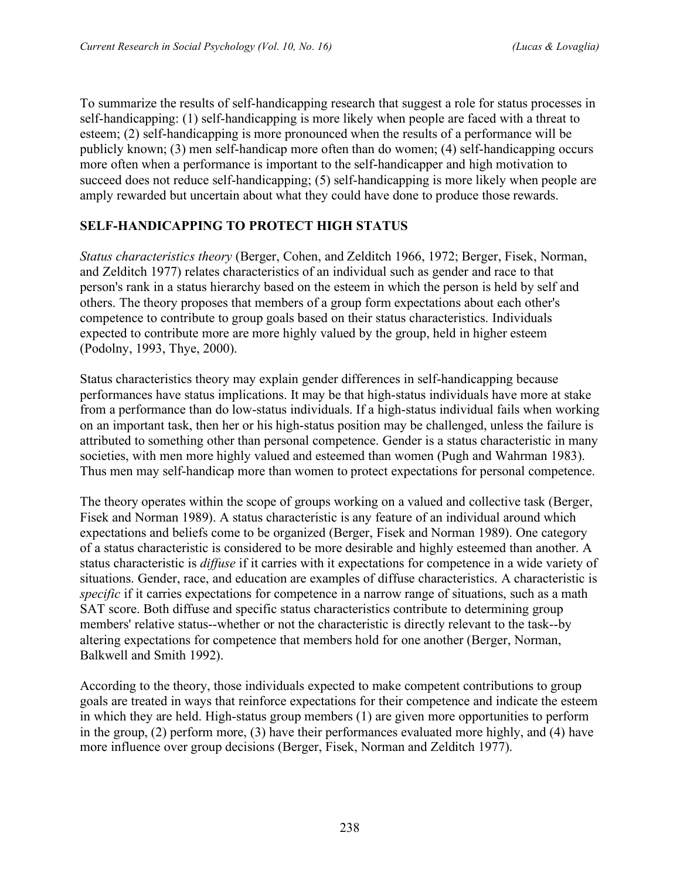To summarize the results of self-handicapping research that suggest a role for status processes in self-handicapping: (1) self-handicapping is more likely when people are faced with a threat to esteem; (2) self-handicapping is more pronounced when the results of a performance will be publicly known; (3) men self-handicap more often than do women; (4) self-handicapping occurs more often when a performance is important to the self-handicapper and high motivation to succeed does not reduce self-handicapping; (5) self-handicapping is more likely when people are amply rewarded but uncertain about what they could have done to produce those rewards.

## **SELF-HANDICAPPING TO PROTECT HIGH STATUS**

*Status characteristics theory* (Berger, Cohen, and Zelditch 1966, 1972; Berger, Fisek, Norman, and Zelditch 1977) relates characteristics of an individual such as gender and race to that person's rank in a status hierarchy based on the esteem in which the person is held by self and others. The theory proposes that members of a group form expectations about each other's competence to contribute to group goals based on their status characteristics. Individuals expected to contribute more are more highly valued by the group, held in higher esteem (Podolny, 1993, Thye, 2000).

Status characteristics theory may explain gender differences in self-handicapping because performances have status implications. It may be that high-status individuals have more at stake from a performance than do low-status individuals. If a high-status individual fails when working on an important task, then her or his high-status position may be challenged, unless the failure is attributed to something other than personal competence. Gender is a status characteristic in many societies, with men more highly valued and esteemed than women (Pugh and Wahrman 1983). Thus men may self-handicap more than women to protect expectations for personal competence.

The theory operates within the scope of groups working on a valued and collective task (Berger, Fisek and Norman 1989). A status characteristic is any feature of an individual around which expectations and beliefs come to be organized (Berger, Fisek and Norman 1989). One category of a status characteristic is considered to be more desirable and highly esteemed than another. A status characteristic is *diffuse* if it carries with it expectations for competence in a wide variety of situations. Gender, race, and education are examples of diffuse characteristics. A characteristic is *specific* if it carries expectations for competence in a narrow range of situations, such as a math SAT score. Both diffuse and specific status characteristics contribute to determining group members' relative status--whether or not the characteristic is directly relevant to the task--by altering expectations for competence that members hold for one another (Berger, Norman, Balkwell and Smith 1992).

According to the theory, those individuals expected to make competent contributions to group goals are treated in ways that reinforce expectations for their competence and indicate the esteem in which they are held. High-status group members (1) are given more opportunities to perform in the group, (2) perform more, (3) have their performances evaluated more highly, and (4) have more influence over group decisions (Berger, Fisek, Norman and Zelditch 1977).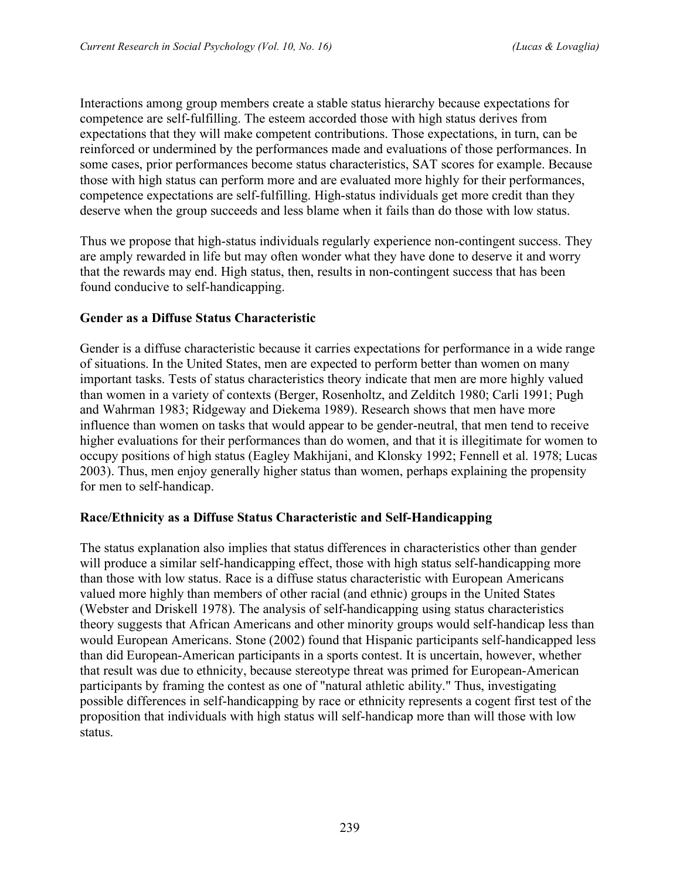Interactions among group members create a stable status hierarchy because expectations for competence are self-fulfilling. The esteem accorded those with high status derives from expectations that they will make competent contributions. Those expectations, in turn, can be reinforced or undermined by the performances made and evaluations of those performances. In some cases, prior performances become status characteristics, SAT scores for example. Because those with high status can perform more and are evaluated more highly for their performances, competence expectations are self-fulfilling. High-status individuals get more credit than they deserve when the group succeeds and less blame when it fails than do those with low status.

Thus we propose that high-status individuals regularly experience non-contingent success. They are amply rewarded in life but may often wonder what they have done to deserve it and worry that the rewards may end. High status, then, results in non-contingent success that has been found conducive to self-handicapping.

#### **Gender as a Diffuse Status Characteristic**

Gender is a diffuse characteristic because it carries expectations for performance in a wide range of situations. In the United States, men are expected to perform better than women on many important tasks. Tests of status characteristics theory indicate that men are more highly valued than women in a variety of contexts (Berger, Rosenholtz, and Zelditch 1980; Carli 1991; Pugh and Wahrman 1983; Ridgeway and Diekema 1989). Research shows that men have more influence than women on tasks that would appear to be gender-neutral, that men tend to receive higher evaluations for their performances than do women, and that it is illegitimate for women to occupy positions of high status (Eagley Makhijani, and Klonsky 1992; Fennell et al. 1978; Lucas 2003). Thus, men enjoy generally higher status than women, perhaps explaining the propensity for men to self-handicap.

#### **Race/Ethnicity as a Diffuse Status Characteristic and Self-Handicapping**

The status explanation also implies that status differences in characteristics other than gender will produce a similar self-handicapping effect, those with high status self-handicapping more than those with low status. Race is a diffuse status characteristic with European Americans valued more highly than members of other racial (and ethnic) groups in the United States (Webster and Driskell 1978). The analysis of self-handicapping using status characteristics theory suggests that African Americans and other minority groups would self-handicap less than would European Americans. Stone (2002) found that Hispanic participants self-handicapped less than did European-American participants in a sports contest. It is uncertain, however, whether that result was due to ethnicity, because stereotype threat was primed for European-American participants by framing the contest as one of "natural athletic ability." Thus, investigating possible differences in self-handicapping by race or ethnicity represents a cogent first test of the proposition that individuals with high status will self-handicap more than will those with low status.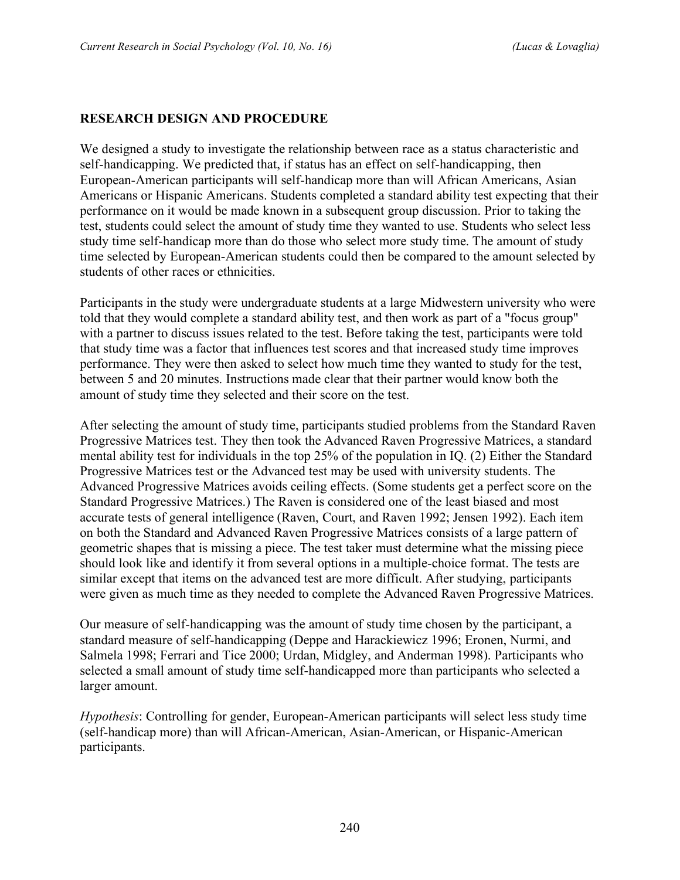#### **RESEARCH DESIGN AND PROCEDURE**

We designed a study to investigate the relationship between race as a status characteristic and self-handicapping. We predicted that, if status has an effect on self-handicapping, then European-American participants will self-handicap more than will African Americans, Asian Americans or Hispanic Americans. Students completed a standard ability test expecting that their performance on it would be made known in a subsequent group discussion. Prior to taking the test, students could select the amount of study time they wanted to use. Students who select less study time self-handicap more than do those who select more study time. The amount of study time selected by European-American students could then be compared to the amount selected by students of other races or ethnicities.

Participants in the study were undergraduate students at a large Midwestern university who were told that they would complete a standard ability test, and then work as part of a "focus group" with a partner to discuss issues related to the test. Before taking the test, participants were told that study time was a factor that influences test scores and that increased study time improves performance. They were then asked to select how much time they wanted to study for the test, between 5 and 20 minutes. Instructions made clear that their partner would know both the amount of study time they selected and their score on the test.

After selecting the amount of study time, participants studied problems from the Standard Raven Progressive Matrices test. They then took the Advanced Raven Progressive Matrices, a standard mental ability test for individuals in the top 25% of the population in IQ. (2) Either the Standard Progressive Matrices test or the Advanced test may be used with university students. The Advanced Progressive Matrices avoids ceiling effects. (Some students get a perfect score on the Standard Progressive Matrices.) The Raven is considered one of the least biased and most accurate tests of general intelligence (Raven, Court, and Raven 1992; Jensen 1992). Each item on both the Standard and Advanced Raven Progressive Matrices consists of a large pattern of geometric shapes that is missing a piece. The test taker must determine what the missing piece should look like and identify it from several options in a multiple-choice format. The tests are similar except that items on the advanced test are more difficult. After studying, participants were given as much time as they needed to complete the Advanced Raven Progressive Matrices.

Our measure of self-handicapping was the amount of study time chosen by the participant, a standard measure of self-handicapping (Deppe and Harackiewicz 1996; Eronen, Nurmi, and Salmela 1998; Ferrari and Tice 2000; Urdan, Midgley, and Anderman 1998). Participants who selected a small amount of study time self-handicapped more than participants who selected a larger amount.

*Hypothesis*: Controlling for gender, European-American participants will select less study time (self-handicap more) than will African-American, Asian-American, or Hispanic-American participants.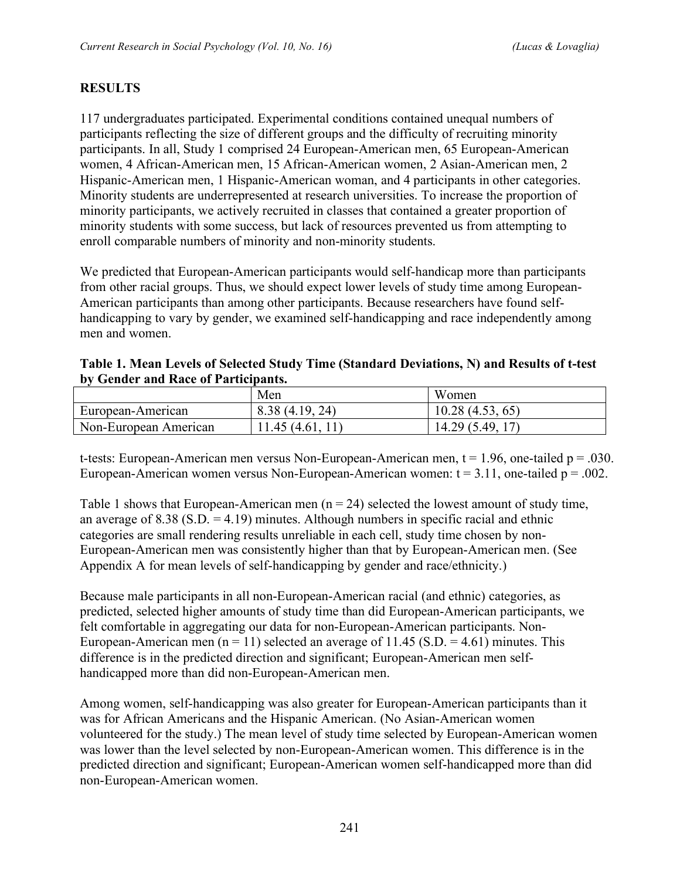# **RESULTS**

117 undergraduates participated. Experimental conditions contained unequal numbers of participants reflecting the size of different groups and the difficulty of recruiting minority participants. In all, Study 1 comprised 24 European-American men, 65 European-American women, 4 African-American men, 15 African-American women, 2 Asian-American men, 2 Hispanic-American men, 1 Hispanic-American woman, and 4 participants in other categories. Minority students are underrepresented at research universities. To increase the proportion of minority participants, we actively recruited in classes that contained a greater proportion of minority students with some success, but lack of resources prevented us from attempting to enroll comparable numbers of minority and non-minority students.

We predicted that European-American participants would self-handicap more than participants from other racial groups. Thus, we should expect lower levels of study time among European-American participants than among other participants. Because researchers have found selfhandicapping to vary by gender, we examined self-handicapping and race independently among men and women.

| Table 1. Mean Levels of Selected Study Time (Standard Deviations, N) and Results of t-test<br>by Gender and Race of Participants. |     |       |  |
|-----------------------------------------------------------------------------------------------------------------------------------|-----|-------|--|
|                                                                                                                                   | Men | Women |  |

|                       | Men            | Women           |
|-----------------------|----------------|-----------------|
| European-American     | 8.38(4.19, 24) | 10.28(4.53, 65) |
| Non-European American | .45(4.61,      | 14.29(5.49)     |

t-tests: European-American men versus Non-European-American men,  $t = 1.96$ , one-tailed  $p = .030$ . European-American women versus Non-European-American women:  $t = 3.11$ , one-tailed  $p = .002$ .

Table 1 shows that European-American men  $(n = 24)$  selected the lowest amount of study time, an average of  $8.38$  (S.D. = 4.19) minutes. Although numbers in specific racial and ethnic categories are small rendering results unreliable in each cell, study time chosen by non-European-American men was consistently higher than that by European-American men. (See Appendix A for mean levels of self-handicapping by gender and race/ethnicity.)

Because male participants in all non-European-American racial (and ethnic) categories, as predicted, selected higher amounts of study time than did European-American participants, we felt comfortable in aggregating our data for non-European-American participants. Non-European-American men (n = 11) selected an average of 11.45 (S.D. = 4.61) minutes. This difference is in the predicted direction and significant; European-American men selfhandicapped more than did non-European-American men.

Among women, self-handicapping was also greater for European-American participants than it was for African Americans and the Hispanic American. (No Asian-American women volunteered for the study.) The mean level of study time selected by European-American women was lower than the level selected by non-European-American women. This difference is in the predicted direction and significant; European-American women self-handicapped more than did non-European-American women.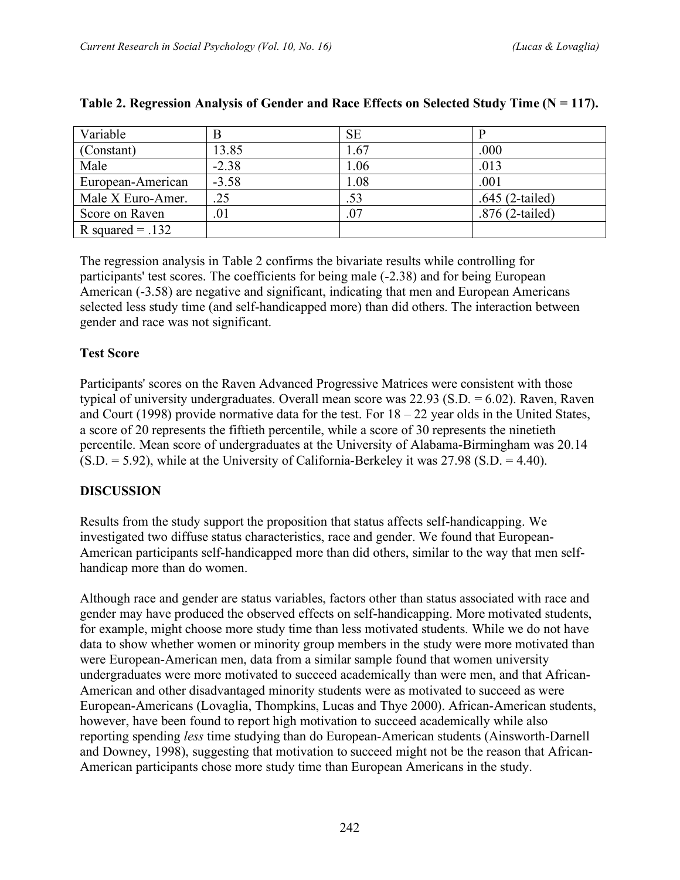| Variable           | В       | <b>SE</b> |                   |
|--------------------|---------|-----------|-------------------|
| (Constant)         | 13.85   | .67       | .000              |
| Male               | $-2.38$ | .06       | .013              |
| European-American  | $-3.58$ | .08       | .001              |
| Male X Euro-Amer.  | .25     | .53       | $.645$ (2-tailed) |
| Score on Raven     | .01     | 07        | $.876$ (2-tailed) |
| R squared $= .132$ |         |           |                   |

#### **Table 2. Regression Analysis of Gender and Race Effects on Selected Study Time (N = 117).**

The regression analysis in Table 2 confirms the bivariate results while controlling for participants' test scores. The coefficients for being male (-2.38) and for being European American (-3.58) are negative and significant, indicating that men and European Americans selected less study time (and self-handicapped more) than did others. The interaction between gender and race was not significant.

#### **Test Score**

Participants' scores on the Raven Advanced Progressive Matrices were consistent with those typical of university undergraduates. Overall mean score was 22.93 (S.D. = 6.02). Raven, Raven and Court (1998) provide normative data for the test. For  $18 - 22$  year olds in the United States, a score of 20 represents the fiftieth percentile, while a score of 30 represents the ninetieth percentile. Mean score of undergraduates at the University of Alabama-Birmingham was 20.14  $(S.D. = 5.92)$ , while at the University of California-Berkeley it was 27.98  $(S.D. = 4.40)$ .

#### **DISCUSSION**

Results from the study support the proposition that status affects self-handicapping. We investigated two diffuse status characteristics, race and gender. We found that European-American participants self-handicapped more than did others, similar to the way that men selfhandicap more than do women.

Although race and gender are status variables, factors other than status associated with race and gender may have produced the observed effects on self-handicapping. More motivated students, for example, might choose more study time than less motivated students. While we do not have data to show whether women or minority group members in the study were more motivated than were European-American men, data from a similar sample found that women university undergraduates were more motivated to succeed academically than were men, and that African-American and other disadvantaged minority students were as motivated to succeed as were European-Americans (Lovaglia, Thompkins, Lucas and Thye 2000). African-American students, however, have been found to report high motivation to succeed academically while also reporting spending *less* time studying than do European-American students (Ainsworth-Darnell and Downey, 1998), suggesting that motivation to succeed might not be the reason that African-American participants chose more study time than European Americans in the study.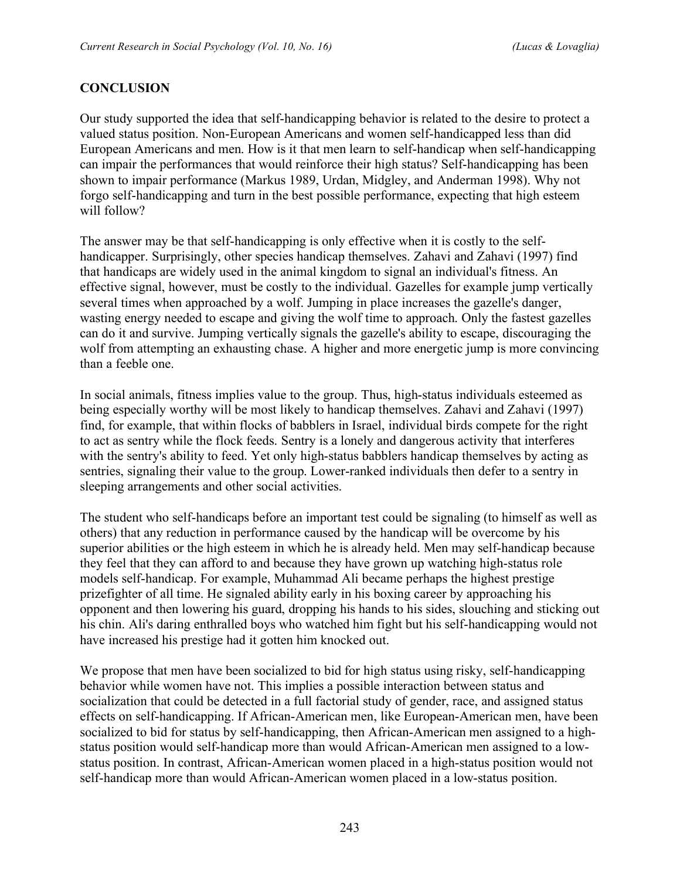## **CONCLUSION**

Our study supported the idea that self-handicapping behavior is related to the desire to protect a valued status position. Non-European Americans and women self-handicapped less than did European Americans and men. How is it that men learn to self-handicap when self-handicapping can impair the performances that would reinforce their high status? Self-handicapping has been shown to impair performance (Markus 1989, Urdan, Midgley, and Anderman 1998). Why not forgo self-handicapping and turn in the best possible performance, expecting that high esteem will follow?

The answer may be that self-handicapping is only effective when it is costly to the selfhandicapper. Surprisingly, other species handicap themselves. Zahavi and Zahavi (1997) find that handicaps are widely used in the animal kingdom to signal an individual's fitness. An effective signal, however, must be costly to the individual. Gazelles for example jump vertically several times when approached by a wolf. Jumping in place increases the gazelle's danger, wasting energy needed to escape and giving the wolf time to approach. Only the fastest gazelles can do it and survive. Jumping vertically signals the gazelle's ability to escape, discouraging the wolf from attempting an exhausting chase. A higher and more energetic jump is more convincing than a feeble one.

In social animals, fitness implies value to the group. Thus, high-status individuals esteemed as being especially worthy will be most likely to handicap themselves. Zahavi and Zahavi (1997) find, for example, that within flocks of babblers in Israel, individual birds compete for the right to act as sentry while the flock feeds. Sentry is a lonely and dangerous activity that interferes with the sentry's ability to feed. Yet only high-status babblers handicap themselves by acting as sentries, signaling their value to the group. Lower-ranked individuals then defer to a sentry in sleeping arrangements and other social activities.

The student who self-handicaps before an important test could be signaling (to himself as well as others) that any reduction in performance caused by the handicap will be overcome by his superior abilities or the high esteem in which he is already held. Men may self-handicap because they feel that they can afford to and because they have grown up watching high-status role models self-handicap. For example, Muhammad Ali became perhaps the highest prestige prizefighter of all time. He signaled ability early in his boxing career by approaching his opponent and then lowering his guard, dropping his hands to his sides, slouching and sticking out his chin. Ali's daring enthralled boys who watched him fight but his self-handicapping would not have increased his prestige had it gotten him knocked out.

We propose that men have been socialized to bid for high status using risky, self-handicapping behavior while women have not. This implies a possible interaction between status and socialization that could be detected in a full factorial study of gender, race, and assigned status effects on self-handicapping. If African-American men, like European-American men, have been socialized to bid for status by self-handicapping, then African-American men assigned to a highstatus position would self-handicap more than would African-American men assigned to a lowstatus position. In contrast, African-American women placed in a high-status position would not self-handicap more than would African-American women placed in a low-status position.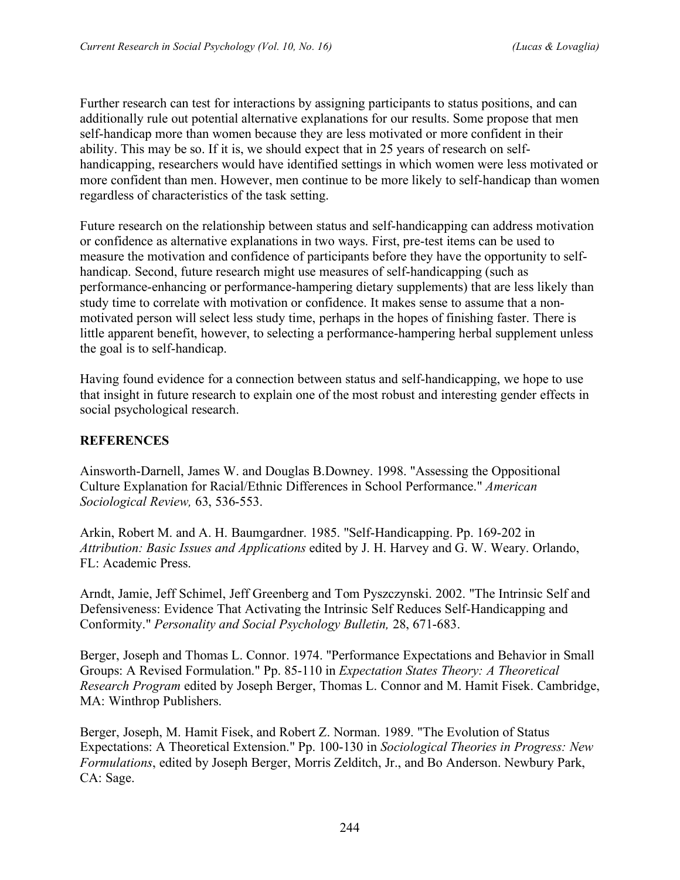Further research can test for interactions by assigning participants to status positions, and can additionally rule out potential alternative explanations for our results. Some propose that men self-handicap more than women because they are less motivated or more confident in their ability. This may be so. If it is, we should expect that in 25 years of research on selfhandicapping, researchers would have identified settings in which women were less motivated or more confident than men. However, men continue to be more likely to self-handicap than women regardless of characteristics of the task setting.

Future research on the relationship between status and self-handicapping can address motivation or confidence as alternative explanations in two ways. First, pre-test items can be used to measure the motivation and confidence of participants before they have the opportunity to selfhandicap. Second, future research might use measures of self-handicapping (such as performance-enhancing or performance-hampering dietary supplements) that are less likely than study time to correlate with motivation or confidence. It makes sense to assume that a nonmotivated person will select less study time, perhaps in the hopes of finishing faster. There is little apparent benefit, however, to selecting a performance-hampering herbal supplement unless the goal is to self-handicap.

Having found evidence for a connection between status and self-handicapping, we hope to use that insight in future research to explain one of the most robust and interesting gender effects in social psychological research.

## **REFERENCES**

Ainsworth-Darnell, James W. and Douglas B.Downey. 1998. "Assessing the Oppositional Culture Explanation for Racial/Ethnic Differences in School Performance." *American Sociological Review,* 63, 536-553.

Arkin, Robert M. and A. H. Baumgardner. 1985. "Self-Handicapping. Pp. 169-202 in *Attribution: Basic Issues and Applications* edited by J. H. Harvey and G. W. Weary. Orlando, FL: Academic Press.

Arndt, Jamie, Jeff Schimel, Jeff Greenberg and Tom Pyszczynski. 2002. "The Intrinsic Self and Defensiveness: Evidence That Activating the Intrinsic Self Reduces Self-Handicapping and Conformity." *Personality and Social Psychology Bulletin,* 28, 671-683.

Berger, Joseph and Thomas L. Connor. 1974. "Performance Expectations and Behavior in Small Groups: A Revised Formulation." Pp. 85-110 in *Expectation States Theory: A Theoretical Research Program* edited by Joseph Berger, Thomas L. Connor and M. Hamit Fisek. Cambridge, MA: Winthrop Publishers.

Berger, Joseph, M. Hamit Fisek, and Robert Z. Norman. 1989. "The Evolution of Status Expectations: A Theoretical Extension." Pp. 100-130 in *Sociological Theories in Progress: New Formulations*, edited by Joseph Berger, Morris Zelditch, Jr., and Bo Anderson. Newbury Park, CA: Sage.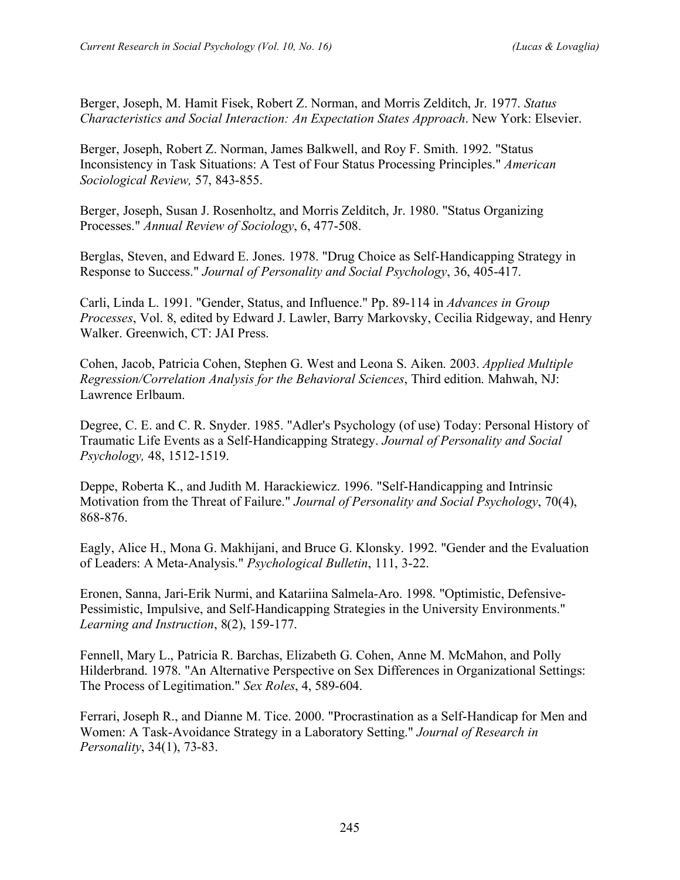Berger, Joseph, M. Hamit Fisek, Robert Z. Norman, and Morris Zelditch, Jr. 1977. *Status Characteristics and Social Interaction: An Expectation States Approach*. New York: Elsevier.

Berger, Joseph, Robert Z. Norman, James Balkwell, and Roy F. Smith. 1992. "Status Inconsistency in Task Situations: A Test of Four Status Processing Principles." *American Sociological Review,* 57, 843-855.

Berger, Joseph, Susan J. Rosenholtz, and Morris Zelditch, Jr. 1980. "Status Organizing Processes." *Annual Review of Sociology*, 6, 477-508.

Berglas, Steven, and Edward E. Jones. 1978. "Drug Choice as Self-Handicapping Strategy in Response to Success." *Journal of Personality and Social Psychology*, 36, 405-417.

Carli, Linda L. 1991. "Gender, Status, and Influence." Pp. 89-114 in *Advances in Group Processes*, Vol. 8, edited by Edward J. Lawler, Barry Markovsky, Cecilia Ridgeway, and Henry Walker. Greenwich, CT: JAI Press.

Cohen, Jacob, Patricia Cohen, Stephen G. West and Leona S. Aiken. 2003. *Applied Multiple Regression/Correlation Analysis for the Behavioral Sciences*, Third edition. Mahwah, NJ: Lawrence Erlbaum.

Degree, C. E. and C. R. Snyder. 1985. "Adler's Psychology (of use) Today: Personal History of Traumatic Life Events as a Self-Handicapping Strategy. *Journal of Personality and Social Psychology,* 48, 1512-1519.

Deppe, Roberta K., and Judith M. Harackiewicz. 1996. "Self-Handicapping and Intrinsic Motivation from the Threat of Failure." *Journal of Personality and Social Psychology*, 70(4), 868-876.

Eagly, Alice H., Mona G. Makhijani, and Bruce G. Klonsky. 1992. "Gender and the Evaluation of Leaders: A Meta-Analysis." *Psychological Bulletin*, 111, 3-22.

Eronen, Sanna, Jari-Erik Nurmi, and Katariina Salmela-Aro. 1998. "Optimistic, Defensive-Pessimistic, Impulsive, and Self-Handicapping Strategies in the University Environments." *Learning and Instruction*, 8(2), 159-177.

Fennell, Mary L., Patricia R. Barchas, Elizabeth G. Cohen, Anne M. McMahon, and Polly Hilderbrand. 1978. "An Alternative Perspective on Sex Differences in Organizational Settings: The Process of Legitimation." *Sex Roles*, 4, 589-604.

Ferrari, Joseph R., and Dianne M. Tice. 2000. "Procrastination as a Self-Handicap for Men and Women: A Task-Avoidance Strategy in a Laboratory Setting." *Journal of Research in Personality*, 34(1), 73-83.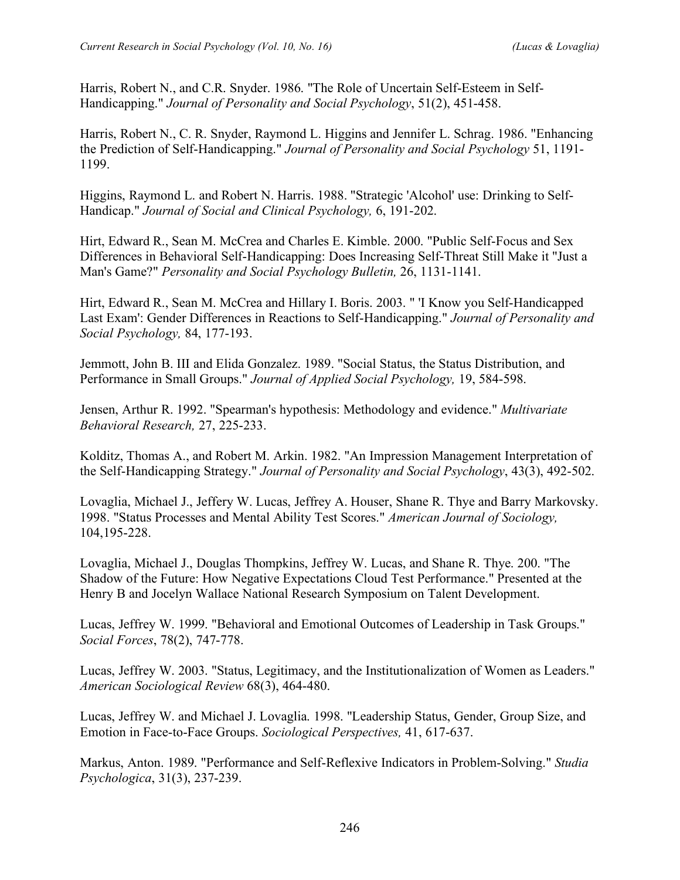Harris, Robert N., and C.R. Snyder. 1986. "The Role of Uncertain Self-Esteem in Self-Handicapping." *Journal of Personality and Social Psychology*, 51(2), 451-458.

Harris, Robert N., C. R. Snyder, Raymond L. Higgins and Jennifer L. Schrag. 1986. "Enhancing the Prediction of Self-Handicapping." *Journal of Personality and Social Psychology* 51, 1191- 1199.

Higgins, Raymond L. and Robert N. Harris. 1988. "Strategic 'Alcohol' use: Drinking to Self-Handicap." *Journal of Social and Clinical Psychology,* 6, 191-202.

Hirt, Edward R., Sean M. McCrea and Charles E. Kimble. 2000. "Public Self-Focus and Sex Differences in Behavioral Self-Handicapping: Does Increasing Self-Threat Still Make it "Just a Man's Game?" *Personality and Social Psychology Bulletin,* 26, 1131-1141.

Hirt, Edward R., Sean M. McCrea and Hillary I. Boris. 2003. " 'I Know you Self-Handicapped Last Exam': Gender Differences in Reactions to Self-Handicapping." *Journal of Personality and Social Psychology,* 84, 177-193.

Jemmott, John B. III and Elida Gonzalez. 1989. "Social Status, the Status Distribution, and Performance in Small Groups." *Journal of Applied Social Psychology,* 19, 584-598.

Jensen, Arthur R. 1992. "Spearman's hypothesis: Methodology and evidence." *Multivariate Behavioral Research,* 27, 225-233.

Kolditz, Thomas A., and Robert M. Arkin. 1982. "An Impression Management Interpretation of the Self-Handicapping Strategy." *Journal of Personality and Social Psychology*, 43(3), 492-502.

Lovaglia, Michael J., Jeffery W. Lucas, Jeffrey A. Houser, Shane R. Thye and Barry Markovsky. 1998. "Status Processes and Mental Ability Test Scores." *American Journal of Sociology,* 104,195-228.

Lovaglia, Michael J., Douglas Thompkins, Jeffrey W. Lucas, and Shane R. Thye. 200. "The Shadow of the Future: How Negative Expectations Cloud Test Performance." Presented at the Henry B and Jocelyn Wallace National Research Symposium on Talent Development.

Lucas, Jeffrey W. 1999. "Behavioral and Emotional Outcomes of Leadership in Task Groups." *Social Forces*, 78(2), 747-778.

Lucas, Jeffrey W. 2003. "Status, Legitimacy, and the Institutionalization of Women as Leaders." *American Sociological Review* 68(3), 464-480.

Lucas, Jeffrey W. and Michael J. Lovaglia. 1998. "Leadership Status, Gender, Group Size, and Emotion in Face-to-Face Groups. *Sociological Perspectives,* 41, 617-637.

Markus, Anton. 1989. "Performance and Self-Reflexive Indicators in Problem-Solving." *Studia Psychologica*, 31(3), 237-239.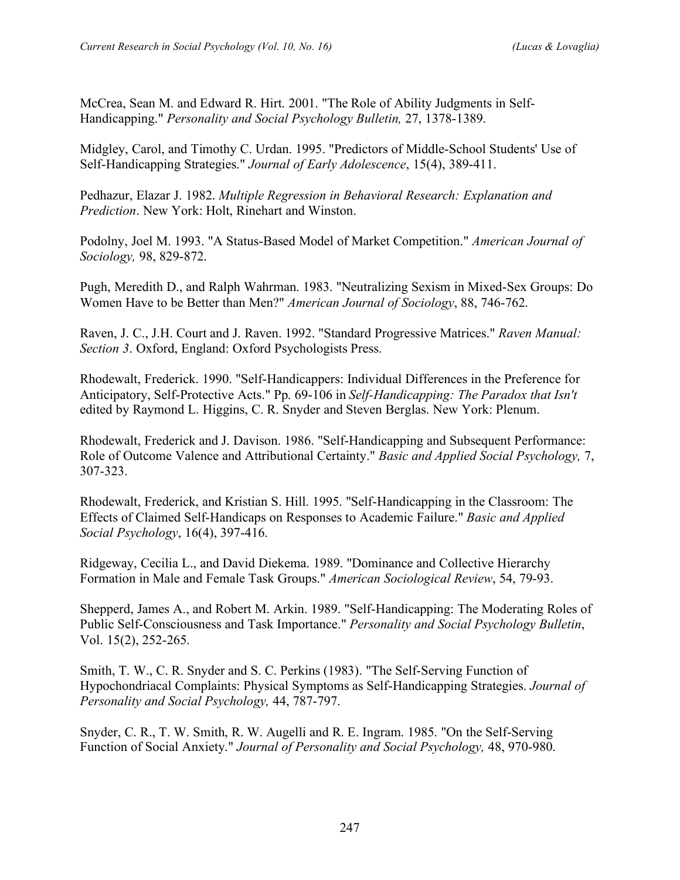McCrea, Sean M. and Edward R. Hirt. 2001. "The Role of Ability Judgments in Self-Handicapping." *Personality and Social Psychology Bulletin,* 27, 1378-1389.

Midgley, Carol, and Timothy C. Urdan. 1995. "Predictors of Middle-School Students' Use of Self-Handicapping Strategies." *Journal of Early Adolescence*, 15(4), 389-411.

Pedhazur, Elazar J. 1982. *Multiple Regression in Behavioral Research: Explanation and Prediction*. New York: Holt, Rinehart and Winston.

Podolny, Joel M. 1993. "A Status-Based Model of Market Competition." *American Journal of Sociology,* 98, 829-872.

Pugh, Meredith D., and Ralph Wahrman. 1983. "Neutralizing Sexism in Mixed-Sex Groups: Do Women Have to be Better than Men?" *American Journal of Sociology*, 88, 746-762.

Raven, J. C., J.H. Court and J. Raven. 1992. "Standard Progressive Matrices." *Raven Manual: Section 3*. Oxford, England: Oxford Psychologists Press.

Rhodewalt, Frederick. 1990. "Self-Handicappers: Individual Differences in the Preference for Anticipatory, Self-Protective Acts." Pp. 69-106 in *Self-Handicapping: The Paradox that Isn't* edited by Raymond L. Higgins, C. R. Snyder and Steven Berglas. New York: Plenum.

Rhodewalt, Frederick and J. Davison. 1986. "Self-Handicapping and Subsequent Performance: Role of Outcome Valence and Attributional Certainty." *Basic and Applied Social Psychology,* 7, 307-323.

Rhodewalt, Frederick, and Kristian S. Hill. 1995. "Self-Handicapping in the Classroom: The Effects of Claimed Self-Handicaps on Responses to Academic Failure." *Basic and Applied Social Psychology*, 16(4), 397-416.

Ridgeway, Cecilia L., and David Diekema. 1989. "Dominance and Collective Hierarchy Formation in Male and Female Task Groups." *American Sociological Review*, 54, 79-93.

Shepperd, James A., and Robert M. Arkin. 1989. "Self-Handicapping: The Moderating Roles of Public Self-Consciousness and Task Importance." *Personality and Social Psychology Bulletin*, Vol. 15(2), 252-265.

Smith, T. W., C. R. Snyder and S. C. Perkins (1983). "The Self-Serving Function of Hypochondriacal Complaints: Physical Symptoms as Self-Handicapping Strategies. *Journal of Personality and Social Psychology,* 44, 787-797.

Snyder, C. R., T. W. Smith, R. W. Augelli and R. E. Ingram. 1985. "On the Self-Serving Function of Social Anxiety." *Journal of Personality and Social Psychology,* 48, 970-980.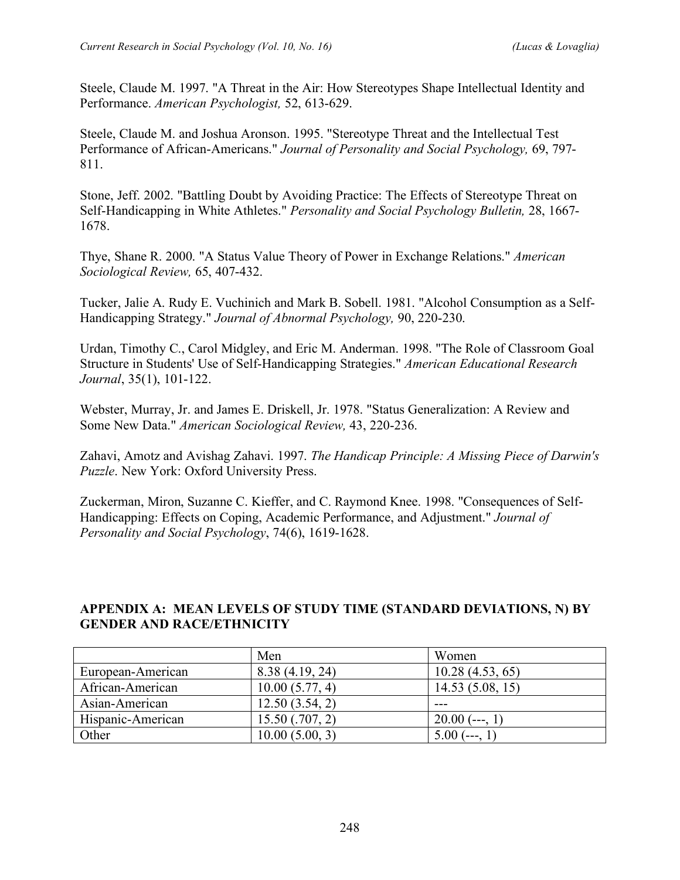Steele, Claude M. 1997. "A Threat in the Air: How Stereotypes Shape Intellectual Identity and Performance. *American Psychologist,* 52, 613-629.

Steele, Claude M. and Joshua Aronson. 1995. "Stereotype Threat and the Intellectual Test Performance of African-Americans." *Journal of Personality and Social Psychology,* 69, 797- 811.

Stone, Jeff. 2002. "Battling Doubt by Avoiding Practice: The Effects of Stereotype Threat on Self-Handicapping in White Athletes." *Personality and Social Psychology Bulletin,* 28, 1667- 1678.

Thye, Shane R. 2000. "A Status Value Theory of Power in Exchange Relations." *American Sociological Review,* 65, 407-432.

Tucker, Jalie A. Rudy E. Vuchinich and Mark B. Sobell. 1981. "Alcohol Consumption as a Self-Handicapping Strategy." *Journal of Abnormal Psychology,* 90, 220-230.

Urdan, Timothy C., Carol Midgley, and Eric M. Anderman. 1998. "The Role of Classroom Goal Structure in Students' Use of Self-Handicapping Strategies." *American Educational Research Journal*, 35(1), 101-122.

Webster, Murray, Jr. and James E. Driskell, Jr. 1978. "Status Generalization: A Review and Some New Data." *American Sociological Review,* 43, 220-236.

Zahavi, Amotz and Avishag Zahavi. 1997. *The Handicap Principle: A Missing Piece of Darwin's Puzzle*. New York: Oxford University Press.

Zuckerman, Miron, Suzanne C. Kieffer, and C. Raymond Knee. 1998. "Consequences of Self-Handicapping: Effects on Coping, Academic Performance, and Adjustment." *Journal of Personality and Social Psychology*, 74(6), 1619-1628.

## **APPENDIX A: MEAN LEVELS OF STUDY TIME (STANDARD DEVIATIONS, N) BY GENDER AND RACE/ETHNICITY**

|                   | Men                 | Women            |
|-------------------|---------------------|------------------|
| European-American | 8.38(4.19, 24)      | 10.28(4.53, 65)  |
| African-American  | 10.00(5.77, 4)      | 14.53(5.08, 15)  |
| Asian-American    | 12.50(3.54, 2)      | ---              |
| Hispanic-American | $15.50$ $(.707, 2)$ | $20.00$ (---, 1) |
| Other             | 10.00(5.00, 3)      | 5.00<br>.        |